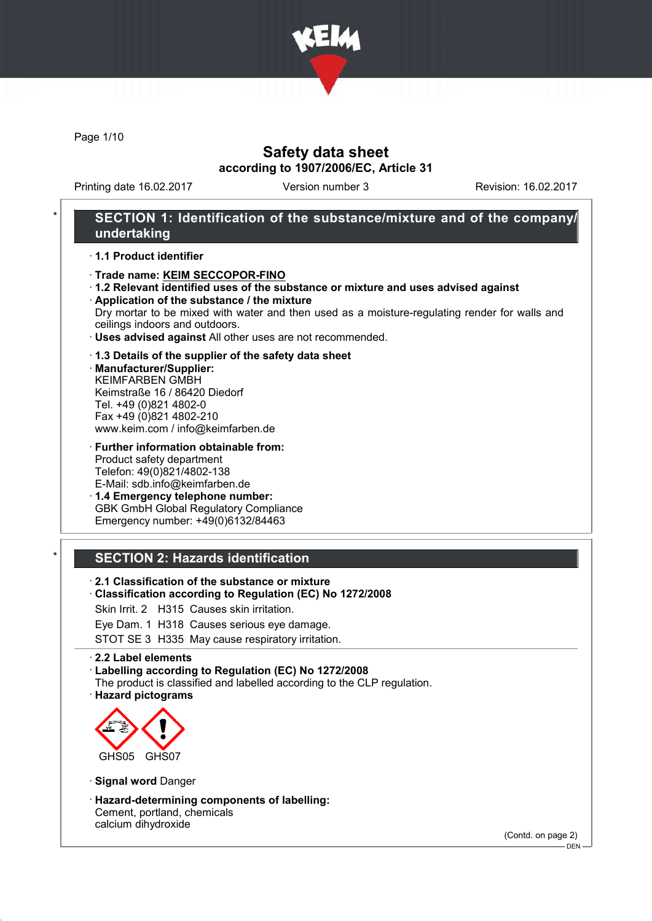

Page 1/10

## Safety data sheet according to 1907/2006/EC, Article 31

Printing date 16.02.2017 Version number 3 Revision: 16.02.2017

### SECTION 1: Identification of the substance/mixture and of the company/ undertaking

#### · 1.1 Product identifier

#### · Trade name: KEIM SECCOPOR-FINO

· 1.2 Relevant identified uses of the substance or mixture and uses advised against · Application of the substance / the mixture

Dry mortar to be mixed with water and then used as a moisture-regulating render for walls and ceilings indoors and outdoors.

· Uses advised against All other uses are not recommended.

#### · 1.3 Details of the supplier of the safety data sheet

· Manufacturer/Supplier: KEIMFARBEN GMBH Keimstraße 16 / 86420 Diedorf Tel. +49 (0)821 4802-0 Fax +49 (0)821 4802-210 www.keim.com / info@keimfarben.de

· Further information obtainable from: Product safety department Telefon: 49(0)821/4802-138 E-Mail: sdb.info@keimfarben.de

· 1.4 Emergency telephone number: GBK GmbH Global Regulatory Compliance Emergency number: +49(0)6132/84463

### **SECTION 2: Hazards identification**

- · 2.1 Classification of the substance or mixture
- · Classification according to Regulation (EC) No 1272/2008
- Skin Irrit. 2 H315 Causes skin irritation.
- Eye Dam. 1 H318 Causes serious eye damage.

STOT SE 3 H335 May cause respiratory irritation.

#### · 2.2 Label elements

· Labelling according to Regulation (EC) No 1272/2008

- The product is classified and labelled according to the CLP regulation.
- · Hazard pictograms



- · Signal word Danger
- · Hazard-determining components of labelling: Cement, portland, chemicals calcium dihydroxide

(Contd. on page 2)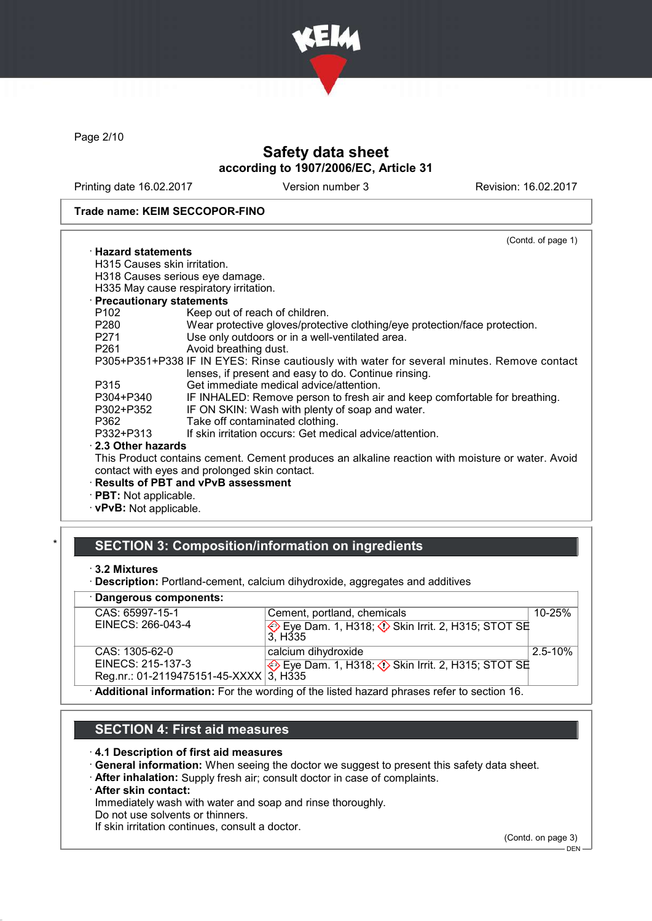

Page 2/10

# Safety data sheet according to 1907/2006/EC, Article 31

Printing date 16.02.2017 Version number 3 Revision: 16.02.2017

#### Trade name: KEIM SECCOPOR-FINO

| (Contd. of page 1)                                                                               |
|--------------------------------------------------------------------------------------------------|
| $\cdot$ Hazard statements                                                                        |
| H315 Causes skin irritation.                                                                     |
| H318 Causes serious eye damage.                                                                  |
| H335 May cause respiratory irritation.                                                           |
| · Precautionary statements                                                                       |
| Keep out of reach of children.                                                                   |
| Wear protective gloves/protective clothing/eye protection/face protection.                       |
| Use only outdoors or in a well-ventilated area.                                                  |
| Avoid breathing dust.                                                                            |
| P305+P351+P338 IF IN EYES: Rinse cautiously with water for several minutes. Remove contact       |
| lenses, if present and easy to do. Continue rinsing.                                             |
| Get immediate medical advice/attention.                                                          |
| IF INHALED: Remove person to fresh air and keep comfortable for breathing.                       |
| IF ON SKIN: Wash with plenty of soap and water.                                                  |
| Take off contaminated clothing.                                                                  |
| If skin irritation occurs: Get medical advice/attention.                                         |
| $\cdot$ 2.3 Other hazards                                                                        |
| This Product contains cement. Cement produces an alkaline reaction with moisture or water. Avoid |
| contact with eyes and prolonged skin contact.                                                    |
| · Results of PBT and vPvB assessment                                                             |
| $\cdot$ PBT: Not applicable.                                                                     |
|                                                                                                  |

· vPvB: Not applicable.

### SECTION 3: Composition/information on ingredients

<sup>·</sup> Description: Portland-cement, calcium dihydroxide, aggregates and additives

| · Dangerous components:                |                                                                                             |              |
|----------------------------------------|---------------------------------------------------------------------------------------------|--------------|
| CAS: 65997-15-1                        | Cement, portland, chemicals                                                                 | $10 - 25%$   |
| EINECS: 266-043-4                      | Ve Eye Dam. 1, H318; <b>V</b> Skin Irrit. 2, H315; STOT SE<br>3. H <sub>335</sub>           |              |
| CAS: 1305-62-0                         | calcium dihydroxide                                                                         | $2.5 - 10\%$ |
| EINECS: 215-137-3                      | Eye Dam. 1, H318; $\Diamond$ Skin Irrit. 2, H315; STOT SE                                   |              |
| Reg.nr.: 01-2119475151-45-XXXX 3, H335 |                                                                                             |              |
|                                        | . Additional information: Ear the werding of the lighed because phrones refer to section 16 |              |

· Additional information: For the wording of the listed hazard phrases refer to section 16.

# SECTION 4: First aid measures

#### · 4.1 Description of first aid measures

- · General information: When seeing the doctor we suggest to present this safety data sheet.
- · After inhalation: Supply fresh air; consult doctor in case of complaints.

#### · After skin contact:

Immediately wash with water and soap and rinse thoroughly.

Do not use solvents or thinners.

If skin irritation continues, consult a doctor.

(Contd. on page 3)

<sup>·</sup> 3.2 Mixtures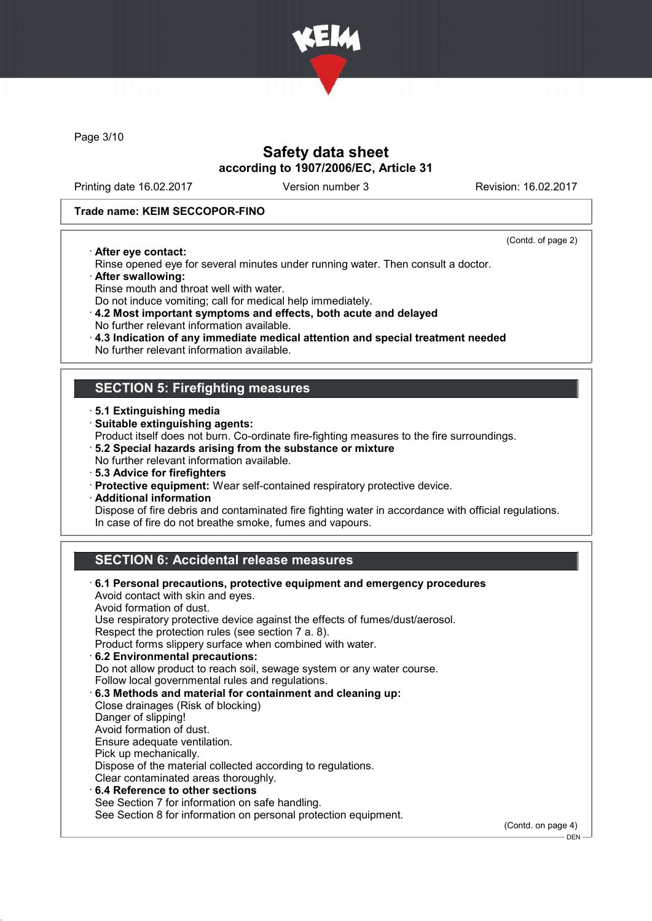

Page 3/10

## Safety data sheet according to 1907/2006/EC, Article 31

Printing date 16.02.2017 Version number 3 Revision: 16.02.2017

#### Trade name: KEIM SECCOPOR-FINO

· After eye contact:

(Contd. of page 2)

.<br>– DEN -

- Rinse opened eye for several minutes under running water. Then consult a doctor. · After swallowing:
- Rinse mouth and throat well with water.
- Do not induce vomiting; call for medical help immediately.
- · 4.2 Most important symptoms and effects, both acute and delayed No further relevant information available.
- · 4.3 Indication of any immediate medical attention and special treatment needed
- No further relevant information available.

## SECTION 5: Firefighting measures

- · 5.1 Extinguishing media
- · Suitable extinguishing agents:
- Product itself does not burn. Co-ordinate fire-fighting measures to the fire surroundings.
- · 5.2 Special hazards arising from the substance or mixture
- No further relevant information available.
- · 5.3 Advice for firefighters
- · Protective equipment: Wear self-contained respiratory protective device.
- · Additional information

Dispose of fire debris and contaminated fire fighting water in accordance with official regulations. In case of fire do not breathe smoke, fumes and vapours.

## SECTION 6: Accidental release measures

| $\cdot$ 6.1 Personal precautions, protective equipment and emergency procedures<br>Avoid contact with skin and eyes.<br>Avoid formation of dust.<br>Use respiratory protective device against the effects of fumes/dust/aerosol.<br>Respect the protection rules (see section 7 a. 8).<br>Product forms slippery surface when combined with water.<br>6.2 Environmental precautions:<br>Do not allow product to reach soil, sewage system or any water course.<br>Follow local governmental rules and regulations.<br>6.3 Methods and material for containment and cleaning up:<br>Close drainages (Risk of blocking)<br>Danger of slipping!<br>Avoid formation of dust.<br>Ensure adequate ventilation.<br>Pick up mechanically.<br>Dispose of the material collected according to regulations.<br>Clear contaminated areas thoroughly.<br>$\cdot$ 6.4 Reference to other sections<br>See Section 7 for information on safe handling. |                    |
|----------------------------------------------------------------------------------------------------------------------------------------------------------------------------------------------------------------------------------------------------------------------------------------------------------------------------------------------------------------------------------------------------------------------------------------------------------------------------------------------------------------------------------------------------------------------------------------------------------------------------------------------------------------------------------------------------------------------------------------------------------------------------------------------------------------------------------------------------------------------------------------------------------------------------------------|--------------------|
| See Section 8 for information on personal protection equipment.                                                                                                                                                                                                                                                                                                                                                                                                                                                                                                                                                                                                                                                                                                                                                                                                                                                                        | (Contd. on page 4) |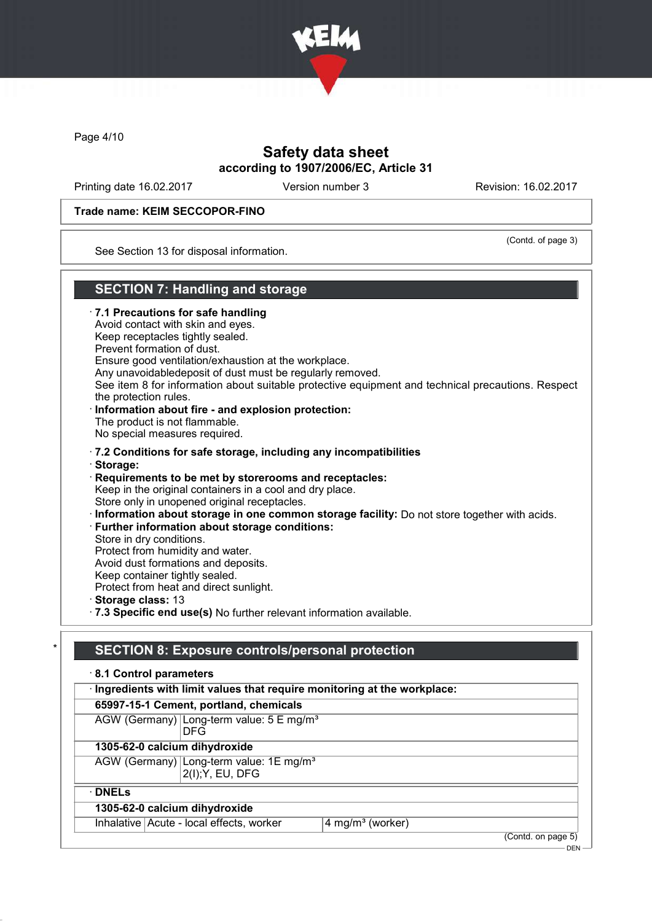

Page 4/10

## Safety data sheet according to 1907/2006/EC, Article 31

Printing date 16.02.2017 Version number 3 Revision: 16.02.2017

#### Trade name: KEIM SECCOPOR-FINO

(Contd. of page 3)

See Section 13 for disposal information.

## SECTION 7: Handling and storage

· 7.1 Precautions for safe handling Avoid contact with skin and eyes. Keep receptacles tightly sealed. Prevent formation of dust. Ensure good ventilation/exhaustion at the workplace. Any unavoidabledeposit of dust must be regularly removed. See item 8 for information about suitable protective equipment and technical precautions. Respect the protection rules. · Information about fire - and explosion protection: The product is not flammable. No special measures required. · 7.2 Conditions for safe storage, including any incompatibilities · Storage: · Requirements to be met by storerooms and receptacles: Keep in the original containers in a cool and dry place. Store only in unopened original receptacles. · Information about storage in one common storage facility: Do not store together with acids. · Further information about storage conditions: Store in dry conditions. Protect from humidity and water. Avoid dust formations and deposits. Keep container tightly sealed. Protect from heat and direct sunlight. · Storage class: 13 · 7.3 Specific end use(s) No further relevant information available.

## SECTION 8: Exposure controls/personal protection

| 8.1 Control parameters                                                    |                              |  |  |
|---------------------------------------------------------------------------|------------------------------|--|--|
| · Ingredients with limit values that require monitoring at the workplace: |                              |  |  |
| 65997-15-1 Cement, portland, chemicals                                    |                              |  |  |
| AGW (Germany) Long-term value: 5 E mg/m <sup>3</sup><br><b>DFG</b>        |                              |  |  |
| 1305-62-0 calcium dihydroxide                                             |                              |  |  |
| AGW (Germany) Long-term value: 1E mg/m <sup>3</sup><br>2(I); Y, EU, DFG   |                              |  |  |
| $\cdot$ DNELs                                                             |                              |  |  |
| 1305-62-0 calcium dihydroxide                                             |                              |  |  |
| Inhalative   Acute - local effects, worker                                | 4 mg/m <sup>3</sup> (worker) |  |  |
|                                                                           | (Contd. on page 5)           |  |  |

 $-$  DEN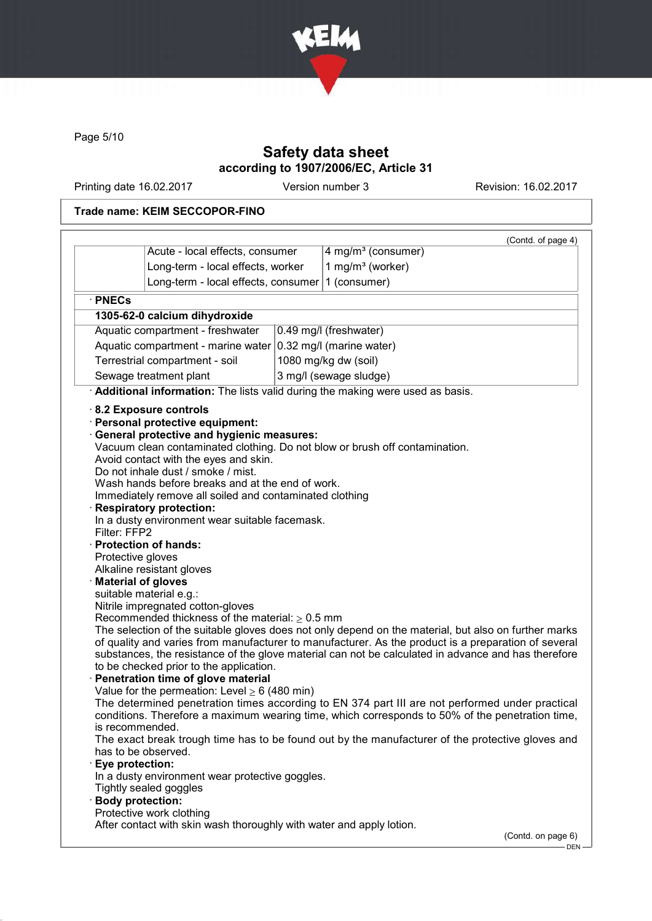

Page 5/10

# Safety data sheet according to 1907/2006/EC, Article 31

Printing date 16.02.2017 Version number 3 Revision: 16.02.2017

### Trade name: KEIM SECCOPOR-FINO

|                                                                                                                                                                                                                                                                                                                                                                                                                                                                                                                                                                                                                                                                                                                                                                                                                                                                                                                                                                                                                                                                                                                     | (Contd. of page 4)                                                                                                                                                                                                                                                                                                                                                                                                                                                                                                                                                                                                                                 |
|---------------------------------------------------------------------------------------------------------------------------------------------------------------------------------------------------------------------------------------------------------------------------------------------------------------------------------------------------------------------------------------------------------------------------------------------------------------------------------------------------------------------------------------------------------------------------------------------------------------------------------------------------------------------------------------------------------------------------------------------------------------------------------------------------------------------------------------------------------------------------------------------------------------------------------------------------------------------------------------------------------------------------------------------------------------------------------------------------------------------|----------------------------------------------------------------------------------------------------------------------------------------------------------------------------------------------------------------------------------------------------------------------------------------------------------------------------------------------------------------------------------------------------------------------------------------------------------------------------------------------------------------------------------------------------------------------------------------------------------------------------------------------------|
| Acute - local effects, consumer                                                                                                                                                                                                                                                                                                                                                                                                                                                                                                                                                                                                                                                                                                                                                                                                                                                                                                                                                                                                                                                                                     | 4 mg/m <sup>3</sup> (consumer)                                                                                                                                                                                                                                                                                                                                                                                                                                                                                                                                                                                                                     |
| Long-term - local effects, worker                                                                                                                                                                                                                                                                                                                                                                                                                                                                                                                                                                                                                                                                                                                                                                                                                                                                                                                                                                                                                                                                                   | 1 mg/m <sup>3</sup> (worker)                                                                                                                                                                                                                                                                                                                                                                                                                                                                                                                                                                                                                       |
| Long-term - local effects, consumer                                                                                                                                                                                                                                                                                                                                                                                                                                                                                                                                                                                                                                                                                                                                                                                                                                                                                                                                                                                                                                                                                 | 1 (consumer)                                                                                                                                                                                                                                                                                                                                                                                                                                                                                                                                                                                                                                       |
| · PNECs                                                                                                                                                                                                                                                                                                                                                                                                                                                                                                                                                                                                                                                                                                                                                                                                                                                                                                                                                                                                                                                                                                             |                                                                                                                                                                                                                                                                                                                                                                                                                                                                                                                                                                                                                                                    |
| 1305-62-0 calcium dihydroxide                                                                                                                                                                                                                                                                                                                                                                                                                                                                                                                                                                                                                                                                                                                                                                                                                                                                                                                                                                                                                                                                                       |                                                                                                                                                                                                                                                                                                                                                                                                                                                                                                                                                                                                                                                    |
| Aquatic compartment - freshwater                                                                                                                                                                                                                                                                                                                                                                                                                                                                                                                                                                                                                                                                                                                                                                                                                                                                                                                                                                                                                                                                                    | 0.49 mg/l (freshwater)                                                                                                                                                                                                                                                                                                                                                                                                                                                                                                                                                                                                                             |
| Aquatic compartment - marine water $ 0.32 \text{ mg/II}$ (marine water)                                                                                                                                                                                                                                                                                                                                                                                                                                                                                                                                                                                                                                                                                                                                                                                                                                                                                                                                                                                                                                             |                                                                                                                                                                                                                                                                                                                                                                                                                                                                                                                                                                                                                                                    |
| Terrestrial compartment - soil                                                                                                                                                                                                                                                                                                                                                                                                                                                                                                                                                                                                                                                                                                                                                                                                                                                                                                                                                                                                                                                                                      | 1080 mg/kg dw (soil)                                                                                                                                                                                                                                                                                                                                                                                                                                                                                                                                                                                                                               |
| Sewage treatment plant                                                                                                                                                                                                                                                                                                                                                                                                                                                                                                                                                                                                                                                                                                                                                                                                                                                                                                                                                                                                                                                                                              | 3 mg/l (sewage sludge)                                                                                                                                                                                                                                                                                                                                                                                                                                                                                                                                                                                                                             |
| Additional information: The lists valid during the making were used as basis.                                                                                                                                                                                                                                                                                                                                                                                                                                                                                                                                                                                                                                                                                                                                                                                                                                                                                                                                                                                                                                       |                                                                                                                                                                                                                                                                                                                                                                                                                                                                                                                                                                                                                                                    |
| · Personal protective equipment:<br>· General protective and hygienic measures:<br>Vacuum clean contaminated clothing. Do not blow or brush off contamination.<br>Avoid contact with the eyes and skin.<br>Do not inhale dust / smoke / mist.<br>Wash hands before breaks and at the end of work.<br>Immediately remove all soiled and contaminated clothing<br><b>Respiratory protection:</b><br>In a dusty environment wear suitable facemask.<br>Filter: FFP2<br>· Protection of hands:<br>Protective gloves<br>Alkaline resistant gloves<br><b>Material of gloves</b><br>suitable material e.g.:<br>Nitrile impregnated cotton-gloves<br>Recommended thickness of the material: $\geq 0.5$ mm<br>to be checked prior to the application.<br>· Penetration time of glove material<br>Value for the permeation: Level $\geq 6$ (480 min)<br>is recommended.<br>has to be observed.<br>Eye protection:<br>In a dusty environment wear protective goggles.<br>Tightly sealed goggles<br><b>Body protection:</b><br>Protective work clothing<br>After contact with skin wash thoroughly with water and apply lotion. | The selection of the suitable gloves does not only depend on the material, but also on further marks<br>of quality and varies from manufacturer to manufacturer. As the product is a preparation of several<br>substances, the resistance of the glove material can not be calculated in advance and has therefore<br>The determined penetration times according to EN 374 part III are not performed under practical<br>conditions. Therefore a maximum wearing time, which corresponds to 50% of the penetration time,<br>The exact break trough time has to be found out by the manufacturer of the protective gloves and<br>(Contd. on page 6) |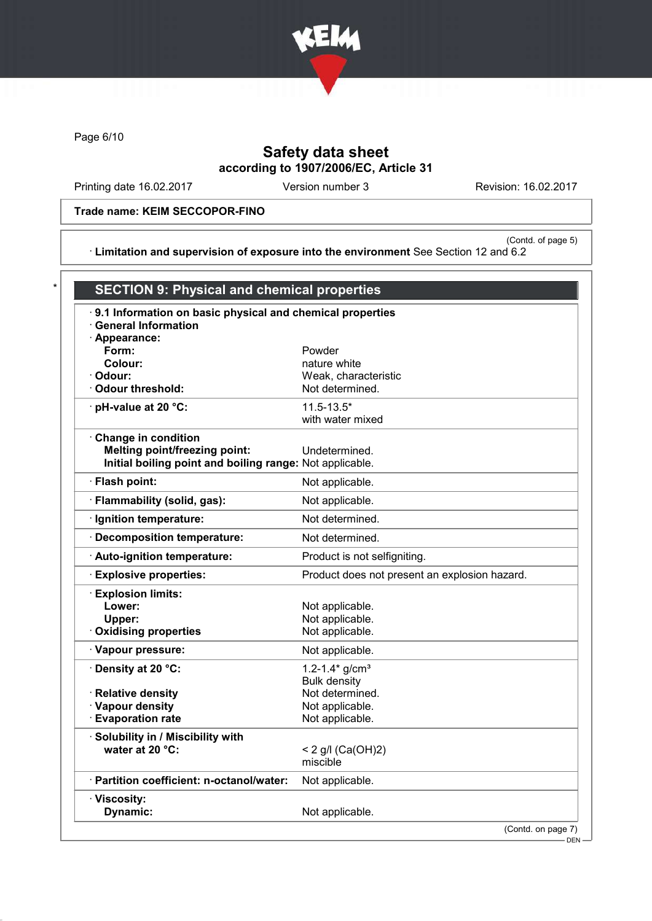

Page 6/10

# Safety data sheet according to 1907/2006/EC, Article 31

Printing date 16.02.2017 Version number 3 Revision: 16.02.2017

Trade name: KEIM SECCOPOR-FINO

(Contd. of page 5) · Limitation and supervision of exposure into the environment See Section 12 and 6.2

| .9.1 Information on basic physical and chemical properties<br><b>General Information</b> |                                               |
|------------------------------------------------------------------------------------------|-----------------------------------------------|
| · Appearance:                                                                            |                                               |
| Form:                                                                                    | Powder                                        |
| Colour:<br>· Odour:                                                                      | nature white<br>Weak, characteristic          |
| <b>Odour threshold:</b>                                                                  | Not determined.                               |
| · pH-value at 20 °C:                                                                     | $11.5 - 13.5*$<br>with water mixed            |
| Change in condition                                                                      |                                               |
| <b>Melting point/freezing point:</b>                                                     | Undetermined.                                 |
| Initial boiling point and boiling range: Not applicable.                                 |                                               |
| · Flash point:                                                                           | Not applicable.                               |
| · Flammability (solid, gas):                                                             | Not applicable.                               |
| · Ignition temperature:                                                                  | Not determined.                               |
| · Decomposition temperature:                                                             | Not determined.                               |
| Auto-ignition temperature:                                                               | Product is not selfigniting.                  |
| <b>Explosive properties:</b>                                                             | Product does not present an explosion hazard. |
| <b>Explosion limits:</b>                                                                 |                                               |
| Lower:                                                                                   | Not applicable.                               |
| Upper:                                                                                   | Not applicable.                               |
| <b>Oxidising properties</b>                                                              | Not applicable.                               |
| · Vapour pressure:                                                                       | Not applicable.                               |
| <b>· Density at 20 °C:</b>                                                               | 1.2-1.4* $g/cm^{3}$                           |
| · Relative density                                                                       | <b>Bulk density</b><br>Not determined.        |
| · Vapour density                                                                         | Not applicable.                               |
| <b>Evaporation rate</b>                                                                  | Not applicable.                               |
| Solubility in / Miscibility with                                                         |                                               |
| water at 20 °C:                                                                          | < 2 g/l $(Ca(OH)2)$                           |
|                                                                                          | miscible                                      |
| · Partition coefficient: n-octanol/water:                                                | Not applicable.                               |
| · Viscosity:                                                                             |                                               |
| Dynamic:                                                                                 | Not applicable.                               |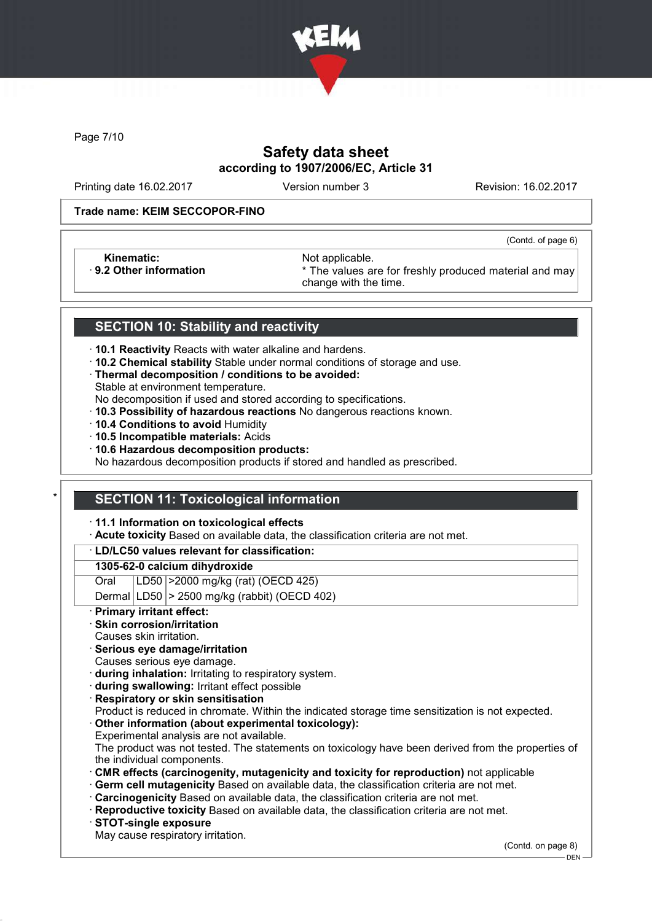

Page 7/10

# Safety data sheet according to 1907/2006/EC, Article 31

Printing date 16.02.2017 Version number 3 Revision: 16.02.2017

(Contd. of page 6)

#### Trade name: KEIM SECCOPOR-FINO

Kinematic: Not applicable.<br>
9.2 Other information **Accord 1989** The values are

\* The values are for freshly produced material and may change with the time.

### SECTION 10: Stability and reactivity

- · 10.1 Reactivity Reacts with water alkaline and hardens.
- · 10.2 Chemical stability Stable under normal conditions of storage and use.
- · Thermal decomposition / conditions to be avoided:
- Stable at environment temperature.
- No decomposition if used and stored according to specifications.
- · 10.3 Possibility of hazardous reactions No dangerous reactions known.
- · 10.4 Conditions to avoid Humidity
- · 10.5 Incompatible materials: Acids
- · 10.6 Hazardous decomposition products:

No hazardous decomposition products if stored and handled as prescribed.

### **SECTION 11: Toxicological information**

· 11.1 Information on toxicological effects

· Acute toxicity Based on available data, the classification criteria are not met.

### · LD/LC50 values relevant for classification:

#### 1305-62-0 calcium dihydroxide

Oral LD50 >2000 mg/kg (rat) (OECD 425)

Dermal  $|LD50|$  > 2500 mg/kg (rabbit) (OECD 402)

Primary irritant effect:

### Skin corrosion/irritation

- Causes skin irritation.
- · Serious eye damage/irritation
- Causes serious eye damage.
- · during inhalation: Irritating to respiratory system.
- · during swallowing: Irritant effect possible
- **Respiratory or skin sensitisation**
- Product is reduced in chromate. Within the indicated storage time sensitization is not expected.
- Other information (about experimental toxicology):
- Experimental analysis are not available.

The product was not tested. The statements on toxicology have been derived from the properties of the individual components.

- · CMR effects (carcinogenity, mutagenicity and toxicity for reproduction) not applicable
- Germ cell mutagenicity Based on available data, the classification criteria are not met.
- · Carcinogenicity Based on available data, the classification criteria are not met.
- · Reproductive toxicity Based on available data, the classification criteria are not met.
- · STOT-single exposure
- May cause respiratory irritation.

(Contd. on page 8)

DEN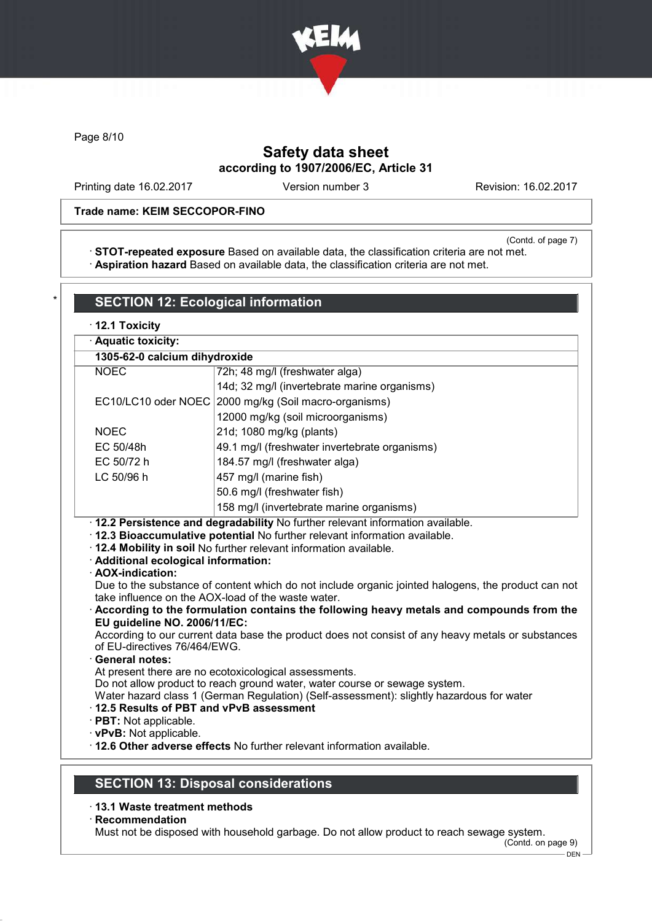

Page 8/10

# Safety data sheet according to 1907/2006/EC, Article 31

Printing date 16.02.2017 Version number 3 Revision: 16.02.2017

### Trade name: KEIM SECCOPOR-FINO

(Contd. of page 7)

· STOT-repeated exposure Based on available data, the classification criteria are not met. · Aspiration hazard Based on available data, the classification criteria are not met.

| · Aquatic toxicity:                                                                                                                          |                                                                                                                                                                                                                                                                                                                                                                                                                                                                                                                                       |
|----------------------------------------------------------------------------------------------------------------------------------------------|---------------------------------------------------------------------------------------------------------------------------------------------------------------------------------------------------------------------------------------------------------------------------------------------------------------------------------------------------------------------------------------------------------------------------------------------------------------------------------------------------------------------------------------|
| 1305-62-0 calcium dihydroxide                                                                                                                |                                                                                                                                                                                                                                                                                                                                                                                                                                                                                                                                       |
| <b>NOEC</b>                                                                                                                                  | 72h; 48 mg/l (freshwater alga)                                                                                                                                                                                                                                                                                                                                                                                                                                                                                                        |
|                                                                                                                                              | 14d; 32 mg/l (invertebrate marine organisms)                                                                                                                                                                                                                                                                                                                                                                                                                                                                                          |
|                                                                                                                                              | EC10/LC10 oder NOEC 2000 mg/kg (Soil macro-organisms)                                                                                                                                                                                                                                                                                                                                                                                                                                                                                 |
|                                                                                                                                              | 12000 mg/kg (soil microorganisms)                                                                                                                                                                                                                                                                                                                                                                                                                                                                                                     |
| <b>NOEC</b>                                                                                                                                  | 21d; 1080 mg/kg (plants)                                                                                                                                                                                                                                                                                                                                                                                                                                                                                                              |
| EC 50/48h                                                                                                                                    | 49.1 mg/l (freshwater invertebrate organisms)                                                                                                                                                                                                                                                                                                                                                                                                                                                                                         |
| EC 50/72 h                                                                                                                                   | 184.57 mg/l (freshwater alga)                                                                                                                                                                                                                                                                                                                                                                                                                                                                                                         |
| LC 50/96 h                                                                                                                                   | 457 mg/l (marine fish)                                                                                                                                                                                                                                                                                                                                                                                                                                                                                                                |
|                                                                                                                                              | 50.6 mg/l (freshwater fish)                                                                                                                                                                                                                                                                                                                                                                                                                                                                                                           |
|                                                                                                                                              | 158 mg/l (invertebrate marine organisms)                                                                                                                                                                                                                                                                                                                                                                                                                                                                                              |
| · 12.2 Persistence and degradability No further relevant information available.<br>· Additional ecological information:<br>· AOX-indication: | · 12.3 Bioaccumulative potential No further relevant information available.<br>· 12.4 Mobility in soil No further relevant information available.<br>take influence on the AOX-load of the waste water.                                                                                                                                                                                                                                                                                                                               |
| EU guideline NO. 2006/11/EC:<br>of EU-directives 76/464/EWG.<br>· General notes:<br>12.5 Results of PBT and vPvB assessment                  | Due to the substance of content which do not include organic jointed halogens, the product can not<br>According to the formulation contains the following heavy metals and compounds from the<br>According to our current data base the product does not consist of any heavy metals or substances<br>At present there are no ecotoxicological assessments.<br>Do not allow product to reach ground water, water course or sewage system.<br>Water hazard class 1 (German Regulation) (Self-assessment): slightly hazardous for water |

- · 13.1 Waste treatment methods
- · Recommendation

Must not be disposed with household garbage. Do not allow product to reach sewage system.

(Contd. on page 9)  $-$  DEN  $-$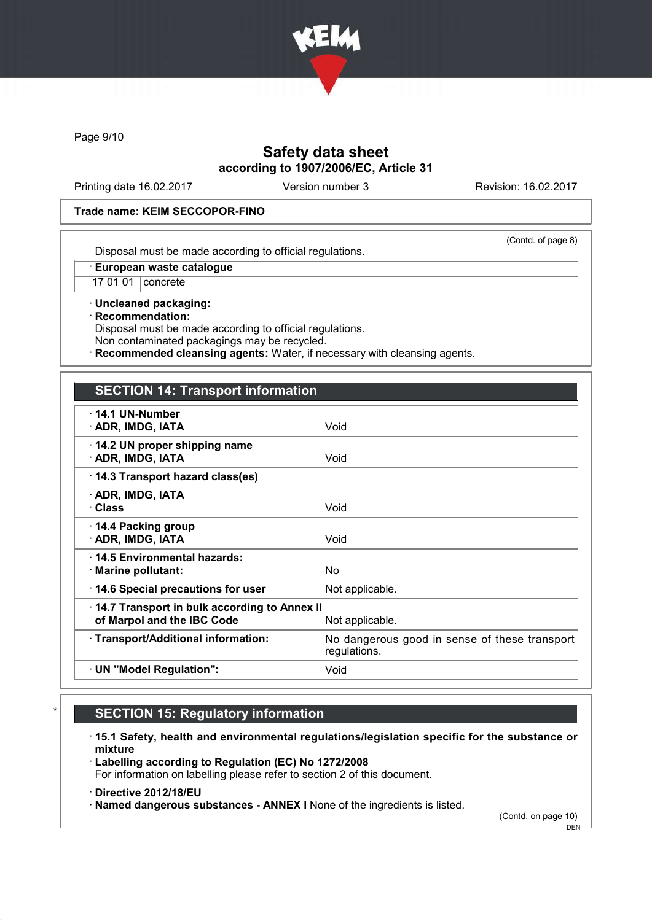

Page 9/10

## Safety data sheet according to 1907/2006/EC, Article 31

Printing date 16.02.2017 Version number 3 Revision: 16.02.2017

(Contd. of page 8)

### Trade name: KEIM SECCOPOR-FINO

Disposal must be made according to official regulations.

· European waste catalogue

17 01 01 concrete

· Uncleaned packaging: · Recommendation: Disposal must be made according to official regulations. Non contaminated packagings may be recycled.

Recommended cleansing agents: Water, if necessary with cleansing agents.

### SECTION 14: Transport information

| $\cdot$ 14.1 UN-Number<br>· ADR, IMDG, IATA                                | Void                                                          |
|----------------------------------------------------------------------------|---------------------------------------------------------------|
| 14.2 UN proper shipping name<br>· ADR, IMDG, IATA                          | Void                                                          |
| 14.3 Transport hazard class(es)                                            |                                                               |
| · ADR, IMDG, IATA<br>· Class                                               | Void                                                          |
| ⋅ 14.4 Packing group<br>· ADR, IMDG, IATA                                  | Void                                                          |
| $\cdot$ 14.5 Environmental hazards:<br>$\cdot$ Marine pollutant:           | No.                                                           |
| 14.6 Special precautions for user                                          | Not applicable.                                               |
| 14.7 Transport in bulk according to Annex II<br>of Marpol and the IBC Code | Not applicable.                                               |
| · Transport/Additional information:                                        | No dangerous good in sense of these transport<br>regulations. |
| · UN "Model Regulation":                                                   | Void                                                          |
|                                                                            |                                                               |

# **SECTION 15: Regulatory information**

· 15.1 Safety, health and environmental regulations/legislation specific for the substance or mixture

· Labelling according to Regulation (EC) No 1272/2008 For information on labelling please refer to section 2 of this document.

- · Directive 2012/18/EU
- · Named dangerous substances ANNEX I None of the ingredients is listed.

(Contd. on page 10)

 $-$  DEN